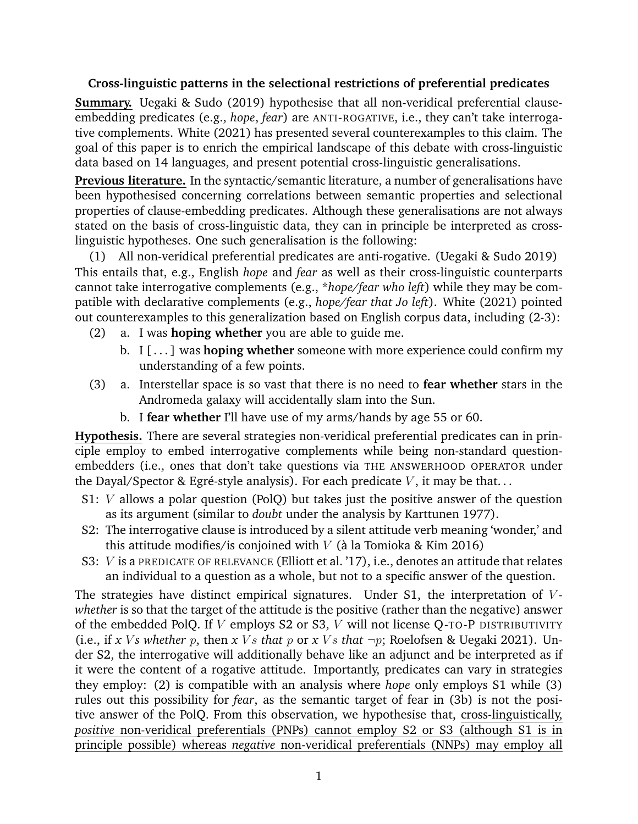## **Cross-linguistic patterns in the selectional restrictions of preferential predicates**

**Summary.** Uegaki & Sudo (2019) hypothesise that all non-veridical preferential clauseembedding predicates (e.g., *hope*, *fear*) are ANTI-ROGATIVE, i.e., they can't take interrogative complements. White (2021) has presented several counterexamples to this claim. The goal of this paper is to enrich the empirical landscape of this debate with cross-linguistic data based on 14 languages, and present potential cross-linguistic generalisations.

**Previous literature.** In the syntactic/semantic literature, a number of generalisations have been hypothesised concerning correlations between semantic properties and selectional properties of clause-embedding predicates. Although these generalisations are not always stated on the basis of cross-linguistic data, they can in principle be interpreted as crosslinguistic hypotheses. One such generalisation is the following:

(1) All non-veridical preferential predicates are anti-rogative. (Uegaki & Sudo 2019) This entails that, e.g., English *hope* and *fear* as well as their cross-linguistic counterparts cannot take interrogative complements (e.g., \**hope/fear who left*) while they may be compatible with declarative complements (e.g., *hope/fear that Jo left*). White (2021) pointed out counterexamples to this generalization based on English corpus data, including (2-3):

- (2) a. I was **hoping whether** you are able to guide me.
	- b. I [ . . . ] was **hoping whether** someone with more experience could confirm my understanding of a few points.
- (3) a. Interstellar space is so vast that there is no need to **fear whether** stars in the Andromeda galaxy will accidentally slam into the Sun.
	- b. I **fear whether** I'll have use of my arms/hands by age 55 or 60.

**Hypothesis.** There are several strategies non-veridical preferential predicates can in principle employ to embed interrogative complements while being non-standard questionembedders (i.e., ones that don't take questions via THE ANSWERHOOD OPERATOR under the Dayal/Spector & Egré-style analysis). For each predicate V, it may be that...

- S1: V allows a polar question (PolQ) but takes just the positive answer of the question as its argument (similar to *doubt* under the analysis by Karttunen 1977).
- S2: The interrogative clause is introduced by a silent attitude verb meaning 'wonder,' and this attitude modifies/is conjoined with  $V$  (à la Tomioka & Kim 2016)
- S3: V is a PREDICATE OF RELEVANCE (Elliott et al. '17), i.e., denotes an attitude that relates an individual to a question as a whole, but not to a specific answer of the question.

The strategies have distinct empirical signatures. Under  $S1$ , the interpretation of  $V$ *whether* is so that the target of the attitude is the positive (rather than the negative) answer of the embedded PolQ. If V employs S2 or S3, V will not license Q-TO-P DISTRIBUTIVITY (i.e., if *x Vs whether p*, then *x Vs that p or x Vs that*  $\neg p$ ; Roelofsen & Uegaki 2021). Under S2, the interrogative will additionally behave like an adjunct and be interpreted as if it were the content of a rogative attitude. Importantly, predicates can vary in strategies they employ: (2) is compatible with an analysis where *hope* only employs S1 while (3) rules out this possibility for *fear*, as the semantic target of fear in (3b) is not the positive answer of the PolQ. From this observation, we hypothesise that, cross-linguistically, *positive* non-veridical preferentials (PNPs) cannot employ S2 or S3 (although S1 is in principle possible) whereas *negative* non-veridical preferentials (NNPs) may employ all